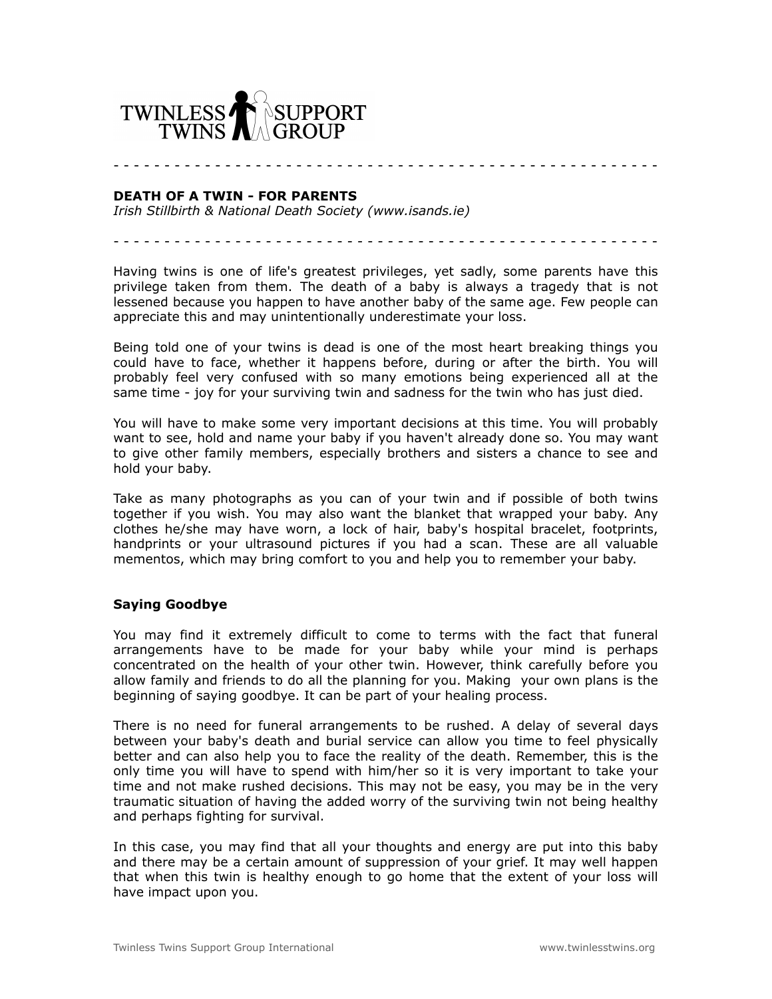

- - - - - - - - - - - - - - - - - - - - - - - - - - - - - - - - - - - - - - - - - - - - - - - - - - - - - -

## **DEATH OF A TWIN - FOR PARENTS**

*Irish Stillbirth & National Death Society (www.isands.ie)*

- - - - - - - - - - - - - - - - - - - - - - - - - - - - - - - - - - - - - - - - - - - - - - - - - - - - - -

Having twins is one of life's greatest privileges, yet sadly, some parents have this privilege taken from them. The death of a baby is always a tragedy that is not lessened because you happen to have another baby of the same age. Few people can appreciate this and may unintentionally underestimate your loss.

Being told one of your twins is dead is one of the most heart breaking things you could have to face, whether it happens before, during or after the birth. You will probably feel very confused with so many emotions being experienced all at the same time - joy for your surviving twin and sadness for the twin who has just died.

You will have to make some very important decisions at this time. You will probably want to see, hold and name your baby if you haven't already done so. You may want to give other family members, especially brothers and sisters a chance to see and hold your baby.

Take as many photographs as you can of your twin and if possible of both twins together if you wish. You may also want the blanket that wrapped your baby. Any clothes he/she may have worn, a lock of hair, baby's hospital bracelet, footprints, handprints or your ultrasound pictures if you had a scan. These are all valuable mementos, which may bring comfort to you and help you to remember your baby.

## **Saying Goodbye**

You may find it extremely difficult to come to terms with the fact that funeral arrangements have to be made for your baby while your mind is perhaps concentrated on the health of your other twin. However, think carefully before you allow family and friends to do all the planning for you. Making your own plans is the beginning of saying goodbye. It can be part of your healing process.

There is no need for funeral arrangements to be rushed. A delay of several days between your baby's death and burial service can allow you time to feel physically better and can also help you to face the reality of the death. Remember, this is the only time you will have to spend with him/her so it is very important to take your time and not make rushed decisions. This may not be easy, you may be in the very traumatic situation of having the added worry of the surviving twin not being healthy and perhaps fighting for survival.

In this case, you may find that all your thoughts and energy are put into this baby and there may be a certain amount of suppression of your grief. It may well happen that when this twin is healthy enough to go home that the extent of your loss will have impact upon you.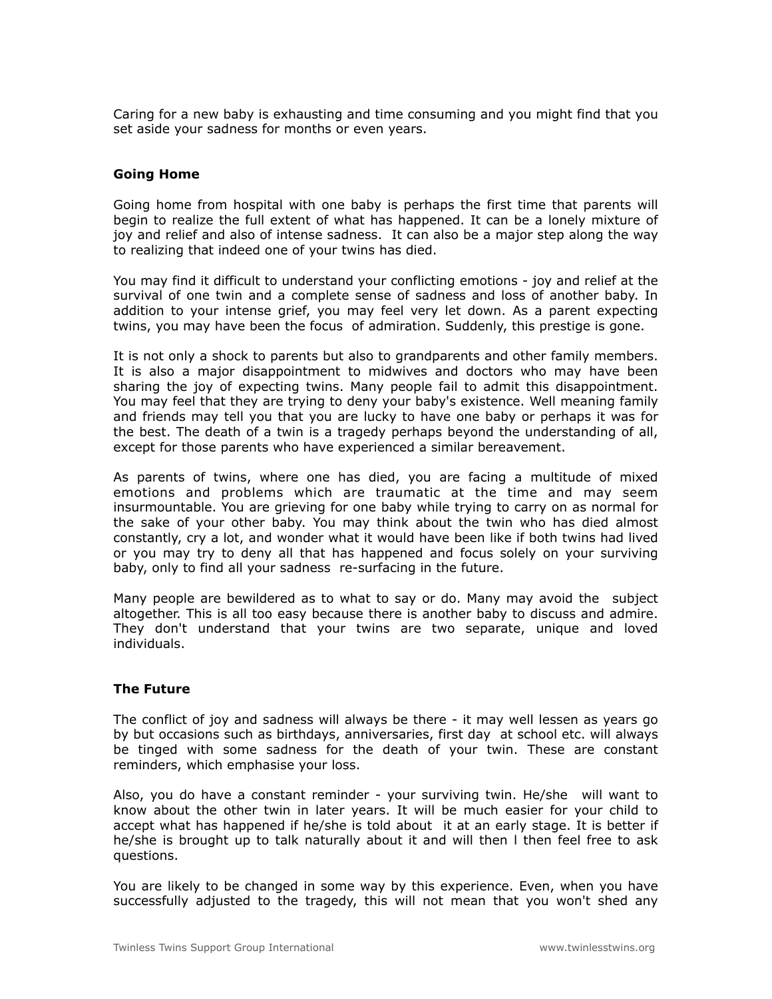Caring for a new baby is exhausting and time consuming and you might find that you set aside your sadness for months or even years.

## **Going Home**

Going home from hospital with one baby is perhaps the first time that parents will begin to realize the full extent of what has happened. It can be a lonely mixture of joy and relief and also of intense sadness. It can also be a major step along the way to realizing that indeed one of your twins has died.

You may find it difficult to understand your conflicting emotions - joy and relief at the survival of one twin and a complete sense of sadness and loss of another baby. In addition to your intense grief, you may feel very let down. As a parent expecting twins, you may have been the focus of admiration. Suddenly, this prestige is gone.

It is not only a shock to parents but also to grandparents and other family members. It is also a major disappointment to midwives and doctors who may have been sharing the joy of expecting twins. Many people fail to admit this disappointment. You may feel that they are trying to deny your baby's existence. Well meaning family and friends may tell you that you are lucky to have one baby or perhaps it was for the best. The death of a twin is a tragedy perhaps beyond the understanding of all, except for those parents who have experienced a similar bereavement.

As parents of twins, where one has died, you are facing a multitude of mixed emotions and problems which are traumatic at the time and may seem insurmountable. You are grieving for one baby while trying to carry on as normal for the sake of your other baby. You may think about the twin who has died almost constantly, cry a lot, and wonder what it would have been like if both twins had lived or you may try to deny all that has happened and focus solely on your surviving baby, only to find all your sadness re-surfacing in the future.

Many people are bewildered as to what to say or do. Many may avoid the subject altogether. This is all too easy because there is another baby to discuss and admire. They don't understand that your twins are two separate, unique and loved individuals.

## **The Future**

The conflict of joy and sadness will always be there - it may well lessen as years go by but occasions such as birthdays, anniversaries, first day at school etc. will always be tinged with some sadness for the death of your twin. These are constant reminders, which emphasise your loss.

Also, you do have a constant reminder - your surviving twin. He/she will want to know about the other twin in later years. It will be much easier for your child to accept what has happened if he/she is told about it at an early stage. It is better if he/she is brought up to talk naturally about it and will then l then feel free to ask questions.

You are likely to be changed in some way by this experience. Even, when you have successfully adjusted to the tragedy, this will not mean that you won't shed any